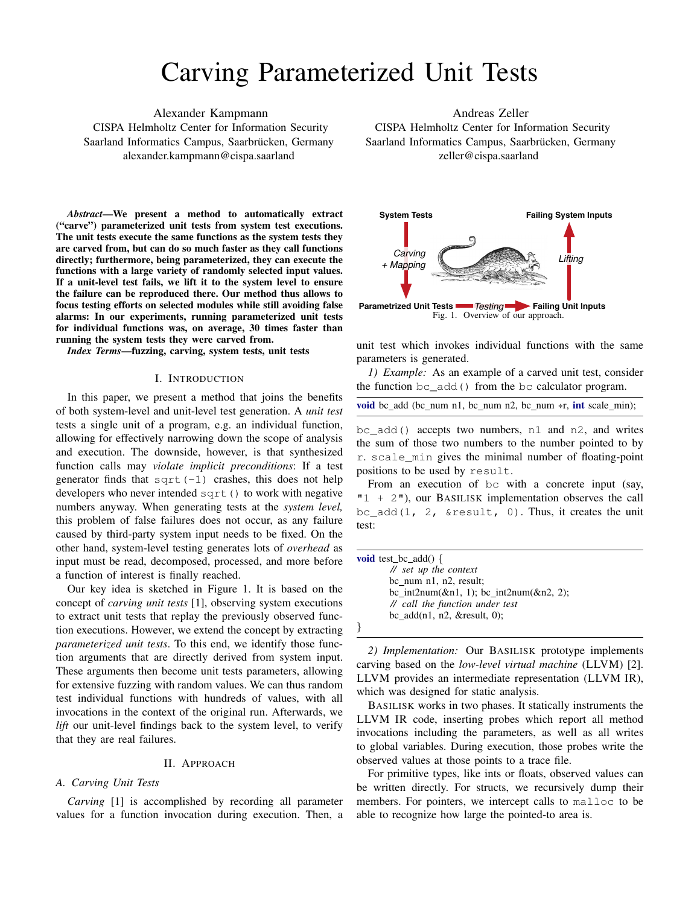# Carving Parameterized Unit Tests

Alexander Kampmann CISPA Helmholtz Center for Information Security Saarland Informatics Campus, Saarbrücken, Germany alexander.kampmann@cispa.saarland

*Abstract*—We present a method to automatically extract ("carve") parameterized unit tests from system test executions. The unit tests execute the same functions as the system tests they are carved from, but can do so much faster as they call functions directly; furthermore, being parameterized, they can execute the functions with a large variety of randomly selected input values. If a unit-level test fails, we lift it to the system level to ensure the failure can be reproduced there. Our method thus allows to focus testing efforts on selected modules while still avoiding false alarms: In our experiments, running parameterized unit tests for individual functions was, on average, 30 times faster than running the system tests they were carved from.

*Index Terms*—fuzzing, carving, system tests, unit tests

#### I. INTRODUCTION

In this paper, we present a method that joins the benefits of both system-level and unit-level test generation. A *unit test* tests a single unit of a program, e.g. an individual function, allowing for effectively narrowing down the scope of analysis and execution. The downside, however, is that synthesized function calls may *violate implicit preconditions*: If a test generator finds that sqrt $(-1)$  crashes, this does not help developers who never intended sqrt() to work with negative numbers anyway. When generating tests at the *system level,* this problem of false failures does not occur, as any failure caused by third-party system input needs to be fixed. On the other hand, system-level testing generates lots of *overhead* as input must be read, decomposed, processed, and more before a function of interest is finally reached.

Our key idea is sketched in Figure 1. It is based on the concept of *carving unit tests* [1], observing system executions to extract unit tests that replay the previously observed function executions. However, we extend the concept by extracting *parameterized unit tests*. To this end, we identify those function arguments that are directly derived from system input. These arguments then become unit tests parameters, allowing for extensive fuzzing with random values. We can thus random test individual functions with hundreds of values, with all invocations in the context of the original run. Afterwards, we *lift* our unit-level findings back to the system level, to verify that they are real failures.

#### II. APPROACH

#### *A. Carving Unit Tests*

*Carving* [1] is accomplished by recording all parameter values for a function invocation during execution. Then, a

Andreas Zeller CISPA Helmholtz Center for Information Security Saarland Informatics Campus, Saarbrücken, Germany zeller@cispa.saarland



unit test which invokes individual functions with the same parameters is generated.

*1) Example:* As an example of a carved unit test, consider the function bc\_add() from the bc calculator program.

|  |  |  |  |  |  |  |  |  |  |  |  |  |  | <b>void</b> bc_add (bc_num n1, bc_num n2, bc_num $\ast r$ , <b>int</b> scale_min); |
|--|--|--|--|--|--|--|--|--|--|--|--|--|--|------------------------------------------------------------------------------------|
|--|--|--|--|--|--|--|--|--|--|--|--|--|--|------------------------------------------------------------------------------------|

bc\_add() accepts two numbers, n1 and n2, and writes the sum of those two numbers to the number pointed to by r. scale\_min gives the minimal number of floating-point positions to be used by result.

From an execution of bc with a concrete input (say,  $"1 + 2"$ ), our BASILISK implementation observes the call bc  $add(1, 2, \text{Sresult}, 0)$ . Thus, it creates the unit test:

| <b>void</b> test bc add() {             |
|-----------------------------------------|
| $\frac{1}{\sqrt{2}}$ set up the context |
| bc num $n1$ , $n2$ , result;            |
| bc_int2num(&n1, 1); bc_int2num(&n2, 2); |
| // call the function under test         |
| bc $add(n1, n2, \& result, 0)$ ;        |
|                                         |

*2) Implementation:* Our BASILISK prototype implements carving based on the *low-level virtual machine* (LLVM) [2]. LLVM provides an intermediate representation (LLVM IR), which was designed for static analysis.

BASILISK works in two phases. It statically instruments the LLVM IR code, inserting probes which report all method invocations including the parameters, as well as all writes to global variables. During execution, those probes write the observed values at those points to a trace file.

For primitive types, like ints or floats, observed values can be written directly. For structs, we recursively dump their members. For pointers, we intercept calls to malloc to be able to recognize how large the pointed-to area is.